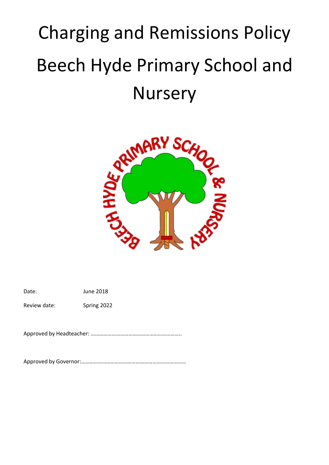# Charging and Remissions Policy Beech Hyde Primary School and **Nursery**



Date: June 2018

Review date: Spring 2022

Approved by Headteacher: ………………………………………………………..

Approved by Governor:…………………………………………………………………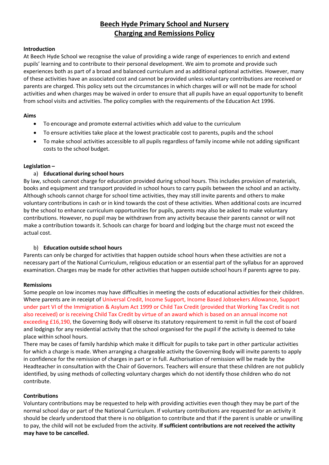# **Beech Hyde Primary School and Nursery Charging and Remissions Policy**

#### **Introduction**

At Beech Hyde School we recognise the value of providing a wide range of experiences to enrich and extend pupils' learning and to contribute to their personal development. We aim to promote and provide such experiences both as part of a broad and balanced curriculum and as additional optional activities. However, many of these activities have an associated cost and cannot be provided unless voluntary contributions are received or parents are charged. This policy sets out the circumstances in which charges will or will not be made for school activities and when charges may be waived in order to ensure that all pupils have an equal opportunity to benefit from school visits and activities. The policy complies with the requirements of the Education Act 1996.

# **Aims**

- To encourage and promote external activities which add value to the curriculum
- To ensure activities take place at the lowest practicable cost to parents, pupils and the school
- To make school activities accessible to all pupils regardless of family income while not adding significant costs to the school budget.

#### **Legislation –**

# a) **Educational during school hours**

By law, schools cannot charge for education provided during school hours. This includes provision of materials, books and equipment and transport provided in school hours to carry pupils between the school and an activity. Although schools cannot charge for school time activities, they may still invite parents and others to make voluntary contributions in cash or in kind towards the cost of these activities. When additional costs are incurred by the school to enhance curriculum opportunities for pupils, parents may also be asked to make voluntary contributions. However, no pupil may be withdrawn from any activity because their parents cannot or will not make a contribution towards it. Schools can charge for board and lodging but the charge must not exceed the actual cost.

# b) **Education outside school hours**

Parents can only be charged for activities that happen outside school hours when these activities are not a necessary part of the National Curriculum, religious education or an essential part of the syllabus for an approved examination. Charges may be made for other activities that happen outside school hours if parents agree to pay.

#### **Remissions**

Some people on low incomes may have difficulties in meeting the costs of educational activities for their children. Where parents are in receipt of Universal Credit, Income Support, Income Based Jobseekers Allowance, Support under part VI of the Immigration & Asylum Act 1999 or Child Tax Credit (provided that Working Tax Credit is not also received) or is receiving Child Tax Credit by virtue of an award which is based on an annual income not exceeding £16,190, the Governing Body will observe its statutory requirement to remit in full the cost of board and lodgings for any residential activity that the school organised for the pupil if the activity is deemed to take place within school hours.

There may be cases of family hardship which make it difficult for pupils to take part in other particular activities for which a charge is made. When arranging a chargeable activity the Governing Body will invite parents to apply in confidence for the remission of charges in part or in full. Authorisation of remission will be made by the Headteacher in consultation with the Chair of Governors. Teachers will ensure that these children are not publicly identified, by using methods of collecting voluntary charges which do not identify those children who do not contribute.

# **Contributions**

Voluntary contributions may be requested to help with providing activities even though they may be part of the normal school day or part of the National Curriculum. If voluntary contributions are requested for an activity it should be clearly understood that there is no obligation to contribute and that if the parent is unable or unwilling to pay, the child will not be excluded from the activity. **If sufficient contributions are not received the activity may have to be cancelled.**